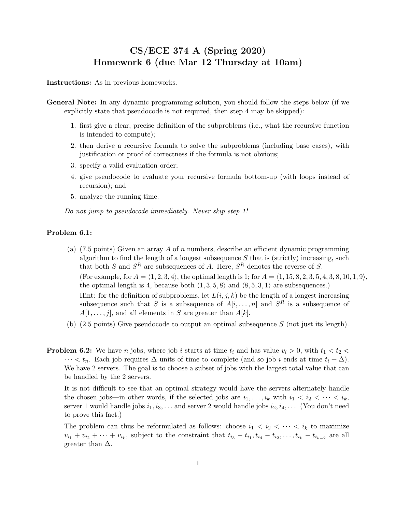## CS/ECE 374 A (Spring 2020) Homework 6 (due Mar 12 Thursday at 10am)

Instructions: As in previous homeworks.

- General Note: In any dynamic programming solution, you should follow the steps below (if we explicitly state that pseudocode is not required, then step 4 may be skipped):
	- 1. first give a clear, precise definition of the subproblems (i.e., what the recursive function is intended to compute);
	- 2. then derive a recursive formula to solve the subproblems (including base cases), with justification or proof of correctness if the formula is not obvious;
	- 3. specify a valid evaluation order;
	- 4. give pseudocode to evaluate your recursive formula bottom-up (with loops instead of recursion); and
	- 5. analyze the running time.

Do not jump to pseudocode immediately. Never skip step 1!

## Problem 6.1:

- (a) (7.5 points) Given an array A of n numbers, describe an efficient dynamic programming algorithm to find the length of a longest subsequence  $S$  that is (strictly) increasing, such that both S and  $S<sup>R</sup>$  are subsequences of A. Here,  $S<sup>R</sup>$  denotes the reverse of S. (For example, for  $A = \langle 1, 2, 3, 4 \rangle$ , the optimal length is 1; for  $A = \langle 1, 15, 8, 2, 3, 5, 4, 3, 8, 10, 1, 9 \rangle$ , the optimal length is 4, because both  $\langle 1, 3, 5, 8 \rangle$  and  $\langle 8, 5, 3, 1 \rangle$  are subsequences.) Hint: for the definition of subproblems, let  $L(i, j, k)$  be the length of a longest increasing subsequence such that S is a subsequence of  $A[i, \ldots, n]$  and  $S<sup>R</sup>$  is a subsequence of  $A[1, \ldots, j]$ , and all elements in S are greater than  $A[k]$ .
- (b) (2.5 points) Give pseudocode to output an optimal subsequence S (not just its length).
- **Problem 6.2:** We have *n* jobs, where job *i* starts at time  $t_i$  and has value  $v_i > 0$ , with  $t_1 < t_2 <$  $\cdots < t_n$ . Each job requires  $\Delta$  units of time to complete (and so job *i* ends at time  $t_i + \Delta$ ). We have 2 servers. The goal is to choose a subset of jobs with the largest total value that can be handled by the 2 servers.

It is not difficult to see that an optimal strategy would have the servers alternately handle the chosen jobs—in other words, if the selected jobs are  $i_1, \ldots, i_k$  with  $i_1 < i_2 < \cdots < i_k$ , server 1 would handle jobs  $i_1, i_3, \ldots$  and server 2 would handle jobs  $i_2, i_4, \ldots$  (You don't need to prove this fact.)

The problem can thus be reformulated as follows: choose  $i_1 < i_2 < \cdots < i_k$  to maximize  $v_{i_1} + v_{i_2} + \cdots + v_{i_k}$ , subject to the constraint that  $t_{i_3} - t_{i_1}, t_{i_4} - t_{i_2}, \ldots, t_{i_k} - t_{i_{k-2}}$  are all greater than  $\Delta$ .